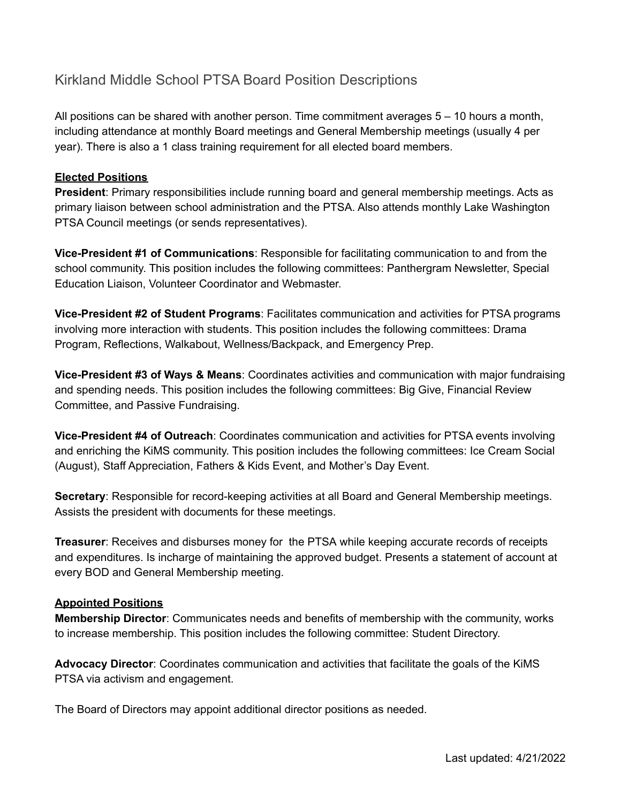## Kirkland Middle School PTSA Board Position Descriptions

All positions can be shared with another person. Time commitment averages 5 – 10 hours a month, including attendance at monthly Board meetings and General Membership meetings (usually 4 per year). There is also a 1 class training requirement for all elected board members.

## **Elected Positions**

**President**: Primary responsibilities include running board and general membership meetings. Acts as primary liaison between school administration and the PTSA. Also attends monthly Lake Washington PTSA Council meetings (or sends representatives).

**Vice-President #1 of Communications**: Responsible for facilitating communication to and from the school community. This position includes the following committees: Panthergram Newsletter, Special Education Liaison, Volunteer Coordinator and Webmaster.

**Vice-President #2 of Student Programs**: Facilitates communication and activities for PTSA programs involving more interaction with students. This position includes the following committees: Drama Program, Reflections, Walkabout, Wellness/Backpack, and Emergency Prep.

**Vice-President #3 of Ways & Means**: Coordinates activities and communication with major fundraising and spending needs. This position includes the following committees: Big Give, Financial Review Committee, and Passive Fundraising.

**Vice-President #4 of Outreach**: Coordinates communication and activities for PTSA events involving and enriching the KiMS community. This position includes the following committees: Ice Cream Social (August), Staff Appreciation, Fathers & Kids Event, and Mother's Day Event.

**Secretary**: Responsible for record-keeping activities at all Board and General Membership meetings. Assists the president with documents for these meetings.

**Treasurer**: Receives and disburses money for the PTSA while keeping accurate records of receipts and expenditures. Is incharge of maintaining the approved budget. Presents a statement of account at every BOD and General Membership meeting.

## **Appointed Positions**

**Membership Director**: Communicates needs and benefits of membership with the community, works to increase membership. This position includes the following committee: Student Directory.

**Advocacy Director**: Coordinates communication and activities that facilitate the goals of the KiMS PTSA via activism and engagement.

The Board of Directors may appoint additional director positions as needed.